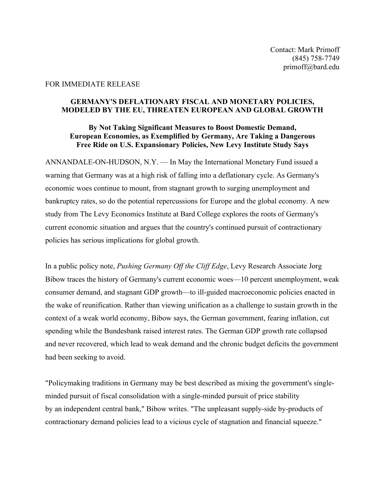## FOR IMMEDIATE RELEASE

## **GERMANY'S DEFLATIONARY FISCAL AND MONETARY POLICIES, MODELED BY THE EU, THREATEN EUROPEAN AND GLOBAL GROWTH**

## **By Not Taking Significant Measures to Boost Domestic Demand, European Economies, as Exemplified by Germany, Are Taking a Dangerous Free Ride on U.S. Expansionary Policies, New Levy Institute Study Says**

ANNANDALE-ON-HUDSON, N.Y. — In May the International Monetary Fund issued a warning that Germany was at a high risk of falling into a deflationary cycle. As Germany's economic woes continue to mount, from stagnant growth to surging unemployment and bankruptcy rates, so do the potential repercussions for Europe and the global economy. A new study from The Levy Economics Institute at Bard College explores the roots of Germany's current economic situation and argues that the country's continued pursuit of contractionary policies has serious implications for global growth.

In a public policy note, *Pushing Germany Off the Cliff Edge*, Levy Research Associate Jorg Bibow traces the history of Germany's current economic woes—10 percent unemployment, weak consumer demand, and stagnant GDP growth—to ill-guided macroeconomic policies enacted in the wake of reunification. Rather than viewing unification as a challenge to sustain growth in the context of a weak world economy, Bibow says, the German government, fearing inflation, cut spending while the Bundesbank raised interest rates. The German GDP growth rate collapsed and never recovered, which lead to weak demand and the chronic budget deficits the government had been seeking to avoid.

"Policymaking traditions in Germany may be best described as mixing the government's singleminded pursuit of fiscal consolidation with a single-minded pursuit of price stability by an independent central bank," Bibow writes. "The unpleasant supply-side by-products of contractionary demand policies lead to a vicious cycle of stagnation and financial squeeze."